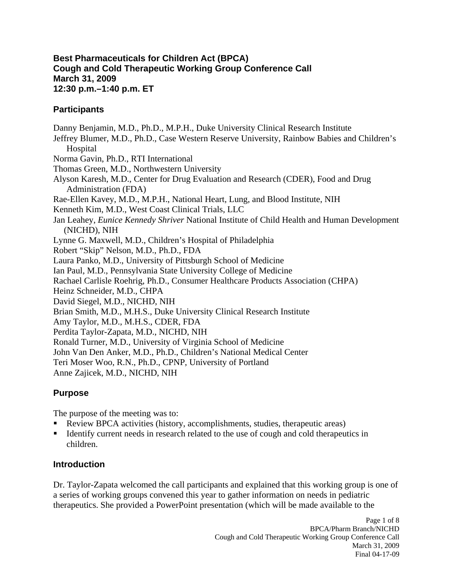#### **Best Pharmaceuticals for Children Act (BPCA) Cough and Cold Therapeutic Working Group Conference Call March 31, 2009 12:30 p.m.–1:40 p.m. ET**

### **Participants**

Danny Benjamin, M.D., Ph.D., M.P.H., Duke University Clinical Research Institute Jeffrey Blumer, M.D., Ph.D., Case Western Reserve University, Rainbow Babies and Children's **Hospital** Norma Gavin, Ph.D., RTI International Thomas Green, M.D., Northwestern University Alyson Karesh, M.D., Center for Drug Evaluation and Research (CDER), Food and Drug Administration (FDA) Rae-Ellen Kavey, M.D., M.P.H., National Heart, Lung, and Blood Institute, NIH Kenneth Kim, M.D., West Coast Clinical Trials, LLC Jan Leahey, *Eunice Kennedy Shriver* National Institute of Child Health and Human Development (NICHD), NIH Lynne G. Maxwell, M.D., Children's Hospital of Philadelphia Robert "Skip" Nelson, M.D., Ph.D., FDA Laura Panko, M.D., University of Pittsburgh School of Medicine Ian Paul, M.D., Pennsylvania State University College of Medicine Rachael Carlisle Roehrig, Ph.D., Consumer Healthcare Products Association (CHPA) Heinz Schneider, M.D., CHPA David Siegel, M.D., NICHD, NIH Brian Smith, M.D., M.H.S., Duke University Clinical Research Institute Amy Taylor, M.D., M.H.S., CDER, FDA Perdita Taylor-Zapata, M.D., NICHD, NIH Ronald Turner, M.D., University of Virginia School of Medicine John Van Den Anker, M.D., Ph.D., Children's National Medical Center Teri Moser Woo, R.N., Ph.D., CPNP, University of Portland Anne Zajicek, M.D., NICHD, NIH

# **Purpose**

The purpose of the meeting was to:

- Review BPCA activities (history, accomplishments, studies, therapeutic areas)
- Identify current needs in research related to the use of cough and cold therapeutics in children.

## **Introduction**

Dr. Taylor-Zapata welcomed the call participants and explained that this working group is one of a series of working groups convened this year to gather information on needs in pediatric therapeutics. She provided a PowerPoint presentation (which will be made available to the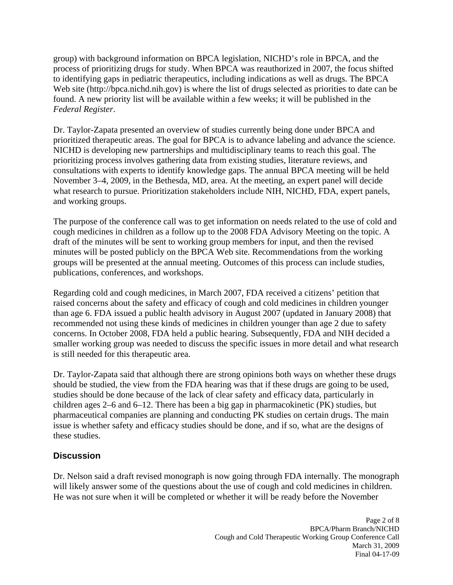group) with background information on BPCA legislation, NICHD's role in BPCA, and the process of prioritizing drugs for study. When BPCA was reauthorized in 2007, the focus shifted to identifying gaps in pediatric therapeutics, including indications as well as drugs. The BPCA Web site (http://bpca.nichd.nih.gov) is where the list of drugs selected as priorities to date can be found. A new priority list will be available within a few weeks; it will be published in the *Federal Register*.

Dr. Taylor-Zapata presented an overview of studies currently being done under BPCA and prioritized therapeutic areas. The goal for BPCA is to advance labeling and advance the science. NICHD is developing new partnerships and multidisciplinary teams to reach this goal. The prioritizing process involves gathering data from existing studies, literature reviews, and consultations with experts to identify knowledge gaps. The annual BPCA meeting will be held November 3–4, 2009, in the Bethesda, MD, area. At the meeting, an expert panel will decide what research to pursue. Prioritization stakeholders include NIH, NICHD, FDA, expert panels, and working groups.

The purpose of the conference call was to get information on needs related to the use of cold and cough medicines in children as a follow up to the 2008 FDA Advisory Meeting on the topic. A draft of the minutes will be sent to working group members for input, and then the revised minutes will be posted publicly on the BPCA Web site. Recommendations from the working groups will be presented at the annual meeting. Outcomes of this process can include studies, publications, conferences, and workshops.

Regarding cold and cough medicines, in March 2007, FDA received a citizens' petition that raised concerns about the safety and efficacy of cough and cold medicines in children younger than age 6. FDA issued a public health advisory in August 2007 (updated in January 2008) that recommended not using these kinds of medicines in children younger than age 2 due to safety concerns. In October 2008, FDA held a public hearing. Subsequently, FDA and NIH decided a smaller working group was needed to discuss the specific issues in more detail and what research is still needed for this therapeutic area.

Dr. Taylor-Zapata said that although there are strong opinions both ways on whether these drugs should be studied, the view from the FDA hearing was that if these drugs are going to be used, studies should be done because of the lack of clear safety and efficacy data, particularly in children ages 2–6 and 6–12. There has been a big gap in pharmacokinetic (PK) studies, but pharmaceutical companies are planning and conducting PK studies on certain drugs. The main issue is whether safety and efficacy studies should be done, and if so, what are the designs of these studies.

#### **Discussion**

Dr. Nelson said a draft revised monograph is now going through FDA internally. The monograph will likely answer some of the questions about the use of cough and cold medicines in children. He was not sure when it will be completed or whether it will be ready before the November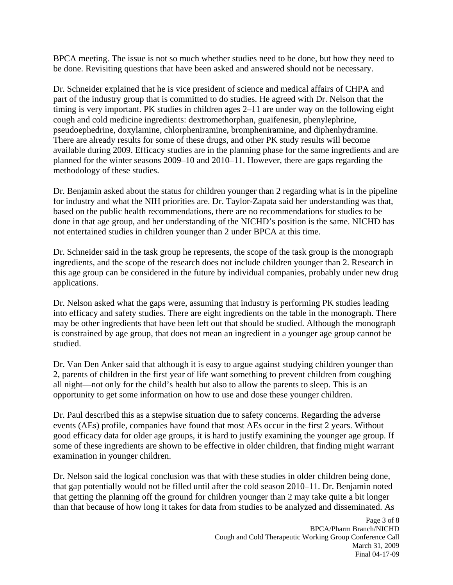BPCA meeting. The issue is not so much whether studies need to be done, but how they need to be done. Revisiting questions that have been asked and answered should not be necessary.

Dr. Schneider explained that he is vice president of science and medical affairs of CHPA and part of the industry group that is committed to do studies. He agreed with Dr. Nelson that the timing is very important. PK studies in children ages 2–11 are under way on the following eight cough and cold medicine ingredients: dextromethorphan, guaifenesin, phenylephrine, pseudoephedrine, doxylamine, chlorpheniramine, brompheniramine, and diphenhydramine. There are already results for some of these drugs, and other PK study results will become available during 2009. Efficacy studies are in the planning phase for the same ingredients and are planned for the winter seasons 2009–10 and 2010–11. However, there are gaps regarding the methodology of these studies.

Dr. Benjamin asked about the status for children younger than 2 regarding what is in the pipeline for industry and what the NIH priorities are. Dr. Taylor-Zapata said her understanding was that, based on the public health recommendations, there are no recommendations for studies to be done in that age group, and her understanding of the NICHD's position is the same. NICHD has not entertained studies in children younger than 2 under BPCA at this time.

Dr. Schneider said in the task group he represents, the scope of the task group is the monograph ingredients, and the scope of the research does not include children younger than 2. Research in this age group can be considered in the future by individual companies, probably under new drug applications.

Dr. Nelson asked what the gaps were, assuming that industry is performing PK studies leading into efficacy and safety studies. There are eight ingredients on the table in the monograph. There may be other ingredients that have been left out that should be studied. Although the monograph is constrained by age group, that does not mean an ingredient in a younger age group cannot be studied.

Dr. Van Den Anker said that although it is easy to argue against studying children younger than 2, parents of children in the first year of life want something to prevent children from coughing all night—not only for the child's health but also to allow the parents to sleep. This is an opportunity to get some information on how to use and dose these younger children.

Dr. Paul described this as a stepwise situation due to safety concerns. Regarding the adverse events (AEs) profile, companies have found that most AEs occur in the first 2 years. Without good efficacy data for older age groups, it is hard to justify examining the younger age group. If some of these ingredients are shown to be effective in older children, that finding might warrant examination in younger children.

Dr. Nelson said the logical conclusion was that with these studies in older children being done, that gap potentially would not be filled until after the cold season 2010–11. Dr. Benjamin noted that getting the planning off the ground for children younger than 2 may take quite a bit longer than that because of how long it takes for data from studies to be analyzed and disseminated. As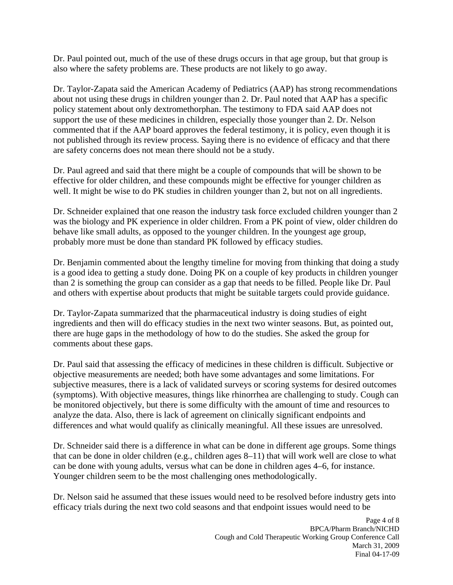Dr. Paul pointed out, much of the use of these drugs occurs in that age group, but that group is also where the safety problems are. These products are not likely to go away.

Dr. Taylor-Zapata said the American Academy of Pediatrics (AAP) has strong recommendations about not using these drugs in children younger than 2. Dr. Paul noted that AAP has a specific policy statement about only dextromethorphan. The testimony to FDA said AAP does not support the use of these medicines in children, especially those younger than 2. Dr. Nelson commented that if the AAP board approves the federal testimony, it is policy, even though it is not published through its review process. Saying there is no evidence of efficacy and that there are safety concerns does not mean there should not be a study.

Dr. Paul agreed and said that there might be a couple of compounds that will be shown to be effective for older children, and these compounds might be effective for younger children as well. It might be wise to do PK studies in children younger than 2, but not on all ingredients.

Dr. Schneider explained that one reason the industry task force excluded children younger than 2 was the biology and PK experience in older children. From a PK point of view, older children do behave like small adults, as opposed to the younger children. In the youngest age group, probably more must be done than standard PK followed by efficacy studies.

Dr. Benjamin commented about the lengthy timeline for moving from thinking that doing a study is a good idea to getting a study done. Doing PK on a couple of key products in children younger than 2 is something the group can consider as a gap that needs to be filled. People like Dr. Paul and others with expertise about products that might be suitable targets could provide guidance.

Dr. Taylor-Zapata summarized that the pharmaceutical industry is doing studies of eight ingredients and then will do efficacy studies in the next two winter seasons. But, as pointed out, there are huge gaps in the methodology of how to do the studies. She asked the group for comments about these gaps.

Dr. Paul said that assessing the efficacy of medicines in these children is difficult. Subjective or objective measurements are needed; both have some advantages and some limitations. For subjective measures, there is a lack of validated surveys or scoring systems for desired outcomes (symptoms). With objective measures, things like rhinorrhea are challenging to study. Cough can be monitored objectively, but there is some difficulty with the amount of time and resources to analyze the data. Also, there is lack of agreement on clinically significant endpoints and differences and what would qualify as clinically meaningful. All these issues are unresolved.

Dr. Schneider said there is a difference in what can be done in different age groups. Some things that can be done in older children (e.g., children ages 8–11) that will work well are close to what can be done with young adults, versus what can be done in children ages 4–6, for instance. Younger children seem to be the most challenging ones methodologically.

Dr. Nelson said he assumed that these issues would need to be resolved before industry gets into efficacy trials during the next two cold seasons and that endpoint issues would need to be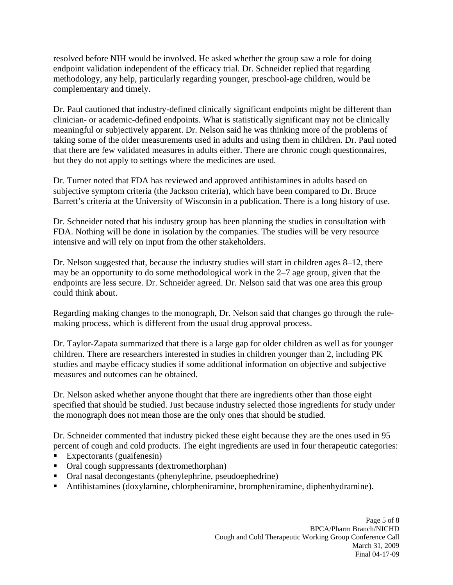resolved before NIH would be involved. He asked whether the group saw a role for doing endpoint validation independent of the efficacy trial. Dr. Schneider replied that regarding methodology, any help, particularly regarding younger, preschool-age children, would be complementary and timely.

Dr. Paul cautioned that industry-defined clinically significant endpoints might be different than clinician- or academic-defined endpoints. What is statistically significant may not be clinically meaningful or subjectively apparent. Dr. Nelson said he was thinking more of the problems of taking some of the older measurements used in adults and using them in children. Dr. Paul noted that there are few validated measures in adults either. There are chronic cough questionnaires, but they do not apply to settings where the medicines are used.

Dr. Turner noted that FDA has reviewed and approved antihistamines in adults based on subjective symptom criteria (the Jackson criteria), which have been compared to Dr. Bruce Barrett's criteria at the University of Wisconsin in a publication. There is a long history of use.

Dr. Schneider noted that his industry group has been planning the studies in consultation with FDA. Nothing will be done in isolation by the companies. The studies will be very resource intensive and will rely on input from the other stakeholders.

Dr. Nelson suggested that, because the industry studies will start in children ages 8–12, there may be an opportunity to do some methodological work in the 2–7 age group, given that the endpoints are less secure. Dr. Schneider agreed. Dr. Nelson said that was one area this group could think about.

Regarding making changes to the monograph, Dr. Nelson said that changes go through the rulemaking process, which is different from the usual drug approval process.

Dr. Taylor-Zapata summarized that there is a large gap for older children as well as for younger children. There are researchers interested in studies in children younger than 2, including PK studies and maybe efficacy studies if some additional information on objective and subjective measures and outcomes can be obtained.

Dr. Nelson asked whether anyone thought that there are ingredients other than those eight specified that should be studied. Just because industry selected those ingredients for study under the monograph does not mean those are the only ones that should be studied.

Dr. Schneider commented that industry picked these eight because they are the ones used in 95 percent of cough and cold products. The eight ingredients are used in four therapeutic categories:

- Expectorants (guaifenesin)
- Oral cough suppressants (dextromethorphan)
- Oral nasal decongestants (phenylephrine, pseudoephedrine)
- Antihistamines (doxylamine, chlorpheniramine, brompheniramine, diphenhydramine).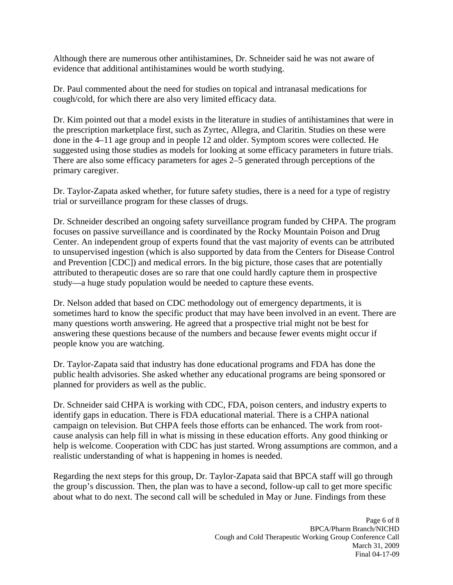Although there are numerous other antihistamines, Dr. Schneider said he was not aware of evidence that additional antihistamines would be worth studying.

Dr. Paul commented about the need for studies on topical and intranasal medications for cough/cold, for which there are also very limited efficacy data.

Dr. Kim pointed out that a model exists in the literature in studies of antihistamines that were in the prescription marketplace first, such as Zyrtec, Allegra, and Claritin. Studies on these were done in the 4–11 age group and in people 12 and older. Symptom scores were collected. He suggested using those studies as models for looking at some efficacy parameters in future trials. There are also some efficacy parameters for ages 2–5 generated through perceptions of the primary caregiver.

Dr. Taylor-Zapata asked whether, for future safety studies, there is a need for a type of registry trial or surveillance program for these classes of drugs.

Dr. Schneider described an ongoing safety surveillance program funded by CHPA. The program focuses on passive surveillance and is coordinated by the Rocky Mountain Poison and Drug Center. An independent group of experts found that the vast majority of events can be attributed to unsupervised ingestion (which is also supported by data from the Centers for Disease Control and Prevention [CDC]) and medical errors. In the big picture, those cases that are potentially attributed to therapeutic doses are so rare that one could hardly capture them in prospective study—a huge study population would be needed to capture these events.

Dr. Nelson added that based on CDC methodology out of emergency departments, it is sometimes hard to know the specific product that may have been involved in an event. There are many questions worth answering. He agreed that a prospective trial might not be best for answering these questions because of the numbers and because fewer events might occur if people know you are watching.

Dr. Taylor-Zapata said that industry has done educational programs and FDA has done the public health advisories. She asked whether any educational programs are being sponsored or planned for providers as well as the public.

Dr. Schneider said CHPA is working with CDC, FDA, poison centers, and industry experts to identify gaps in education. There is FDA educational material. There is a CHPA national campaign on television. But CHPA feels those efforts can be enhanced. The work from rootcause analysis can help fill in what is missing in these education efforts. Any good thinking or help is welcome. Cooperation with CDC has just started. Wrong assumptions are common, and a realistic understanding of what is happening in homes is needed.

Regarding the next steps for this group, Dr. Taylor-Zapata said that BPCA staff will go through the group's discussion. Then, the plan was to have a second, follow-up call to get more specific about what to do next. The second call will be scheduled in May or June. Findings from these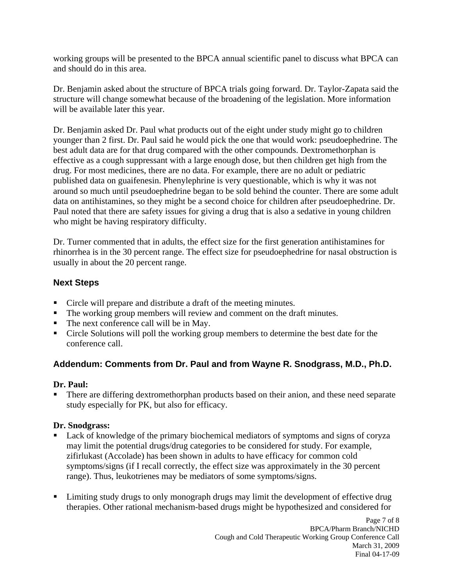working groups will be presented to the BPCA annual scientific panel to discuss what BPCA can and should do in this area.

Dr. Benjamin asked about the structure of BPCA trials going forward. Dr. Taylor-Zapata said the structure will change somewhat because of the broadening of the legislation. More information will be available later this year.

Dr. Benjamin asked Dr. Paul what products out of the eight under study might go to children younger than 2 first. Dr. Paul said he would pick the one that would work: pseudoephedrine. The best adult data are for that drug compared with the other compounds. Dextromethorphan is effective as a cough suppressant with a large enough dose, but then children get high from the drug. For most medicines, there are no data. For example, there are no adult or pediatric published data on guaifenesin. Phenylephrine is very questionable, which is why it was not around so much until pseudoephedrine began to be sold behind the counter. There are some adult data on antihistamines, so they might be a second choice for children after pseudoephedrine. Dr. Paul noted that there are safety issues for giving a drug that is also a sedative in young children who might be having respiratory difficulty.

Dr. Turner commented that in adults, the effect size for the first generation antihistamines for rhinorrhea is in the 30 percent range. The effect size for pseudoephedrine for nasal obstruction is usually in about the 20 percent range.

## **Next Steps**

- Circle will prepare and distribute a draft of the meeting minutes.
- The working group members will review and comment on the draft minutes.
- The next conference call will be in May.
- Circle Solutions will poll the working group members to determine the best date for the conference call.

## **Addendum: Comments from Dr. Paul and from Wayne R. Snodgrass, M.D., Ph.D.**

#### **Dr. Paul:**

There are differing dextromethorphan products based on their anion, and these need separate study especially for PK, but also for efficacy.

#### **Dr. Snodgrass:**

- Lack of knowledge of the primary biochemical mediators of symptoms and signs of coryza may limit the potential drugs/drug categories to be considered for study. For example, zifirlukast (Accolade) has been shown in adults to have efficacy for common cold symptoms/signs (if I recall correctly, the effect size was approximately in the 30 percent range). Thus, leukotrienes may be mediators of some symptoms/signs.
- **EXECUTE:** Limiting study drugs to only monograph drugs may limit the development of effective drug therapies. Other rational mechanism-based drugs might be hypothesized and considered for